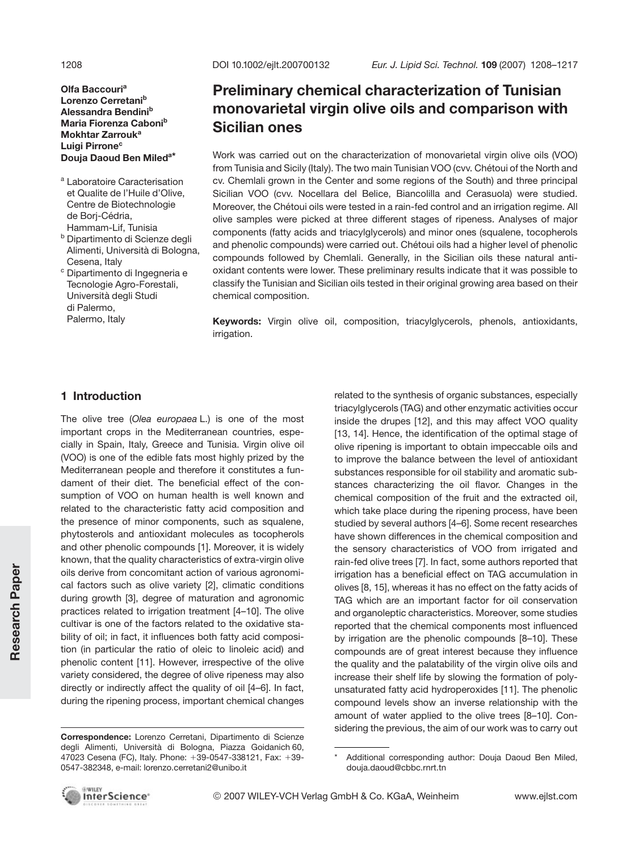**Olfa Baccouri<sup>a</sup> Lorenzo Cerretani<sup>b</sup> Alessandra Bendini<sup>b</sup> Maria Fiorenza Caboni<sup>b</sup> Mokhtar Zarrouk<sup>a</sup> Luigi Pirrone<sup>c</sup> Douja Daoud Ben Mileda\***

- <sup>a</sup> Laboratoire Caracterisation et Qualite de l'Huile d'Olive, Centre de Biotechnologie de Borj-Cédria, Hammam-Lif, Tunisia
- <sup>b</sup> Dipartimento di Scienze degli Alimenti, Università di Bologna, Cesena, Italy
- <sup>c</sup> Dipartimento di Ingegneria e Tecnologie Agro-Forestali, Università degli Studi di Palermo, Palermo, Italy

# **Preliminary chemical characterization of Tunisian monovarietal virgin olive oils and comparison with Sicilian ones**

Work was carried out on the characterization of monovarietal virgin olive oils (VOO) from Tunisia and Sicily (Italy). The two main Tunisian VOO (cvv. Chétoui of the North and cv. Chemlali grown in the Center and some regions of the South) and three principal Sicilian VOO (cvv. Nocellara del Belice, Biancolilla and Cerasuola) were studied. Moreover, the Chétoui oils were tested in a rain-fed control and an irrigation regime. All olive samples were picked at three different stages of ripeness. Analyses of major components (fatty acids and triacylglycerols) and minor ones (squalene, tocopherols and phenolic compounds) were carried out. Chétoui oils had a higher level of phenolic compounds followed by Chemlali. Generally, in the Sicilian oils these natural antioxidant contents were lower. These preliminary results indicate that it was possible to classify the Tunisian and Sicilian oils tested in their original growing area based on their chemical composition.

**Keywords:** Virgin olive oil, composition, triacylglycerols, phenols, antioxidants, irrigation.

# **1 Introduction**

The olive tree (*Olea europaea* L.) is one of the most important crops in the Mediterranean countries, especially in Spain, Italy, Greece and Tunisia. Virgin olive oil (VOO) is one of the edible fats most highly prized by the Mediterranean people and therefore it constitutes a fundament of their diet. The beneficial effect of the consumption of VOO on human health is well known and related to the characteristic fatty acid composition and the presence of minor components, such as squalene, phytosterols and antioxidant molecules as tocopherols and other phenolic compounds [1]. Moreover, it is widely known, that the quality characteristics of extra-virgin olive oils derive from concomitant action of various agronomical factors such as olive variety [2], climatic conditions during growth [3], degree of maturation and agronomic practices related to irrigation treatment [4–10]. The olive cultivar is one of the factors related to the oxidative stability of oil; in fact, it influences both fatty acid composition (in particular the ratio of oleic to linoleic acid) and phenolic content [11]. However, irrespective of the olive variety considered, the degree of olive ripeness may also directly or indirectly affect the quality of oil [4–6]. In fact, during the ripening process, important chemical changes related to the synthesis of organic substances, especially triacylglycerols (TAG) and other enzymatic activities occur inside the drupes [12], and this may affect VOO quality [13, 14]. Hence, the identification of the optimal stage of olive ripening is important to obtain impeccable oils and to improve the balance between the level of antioxidant substances responsible for oil stability and aromatic substances characterizing the oil flavor. Changes in the chemical composition of the fruit and the extracted oil, which take place during the ripening process, have been studied by several authors [4–6]. Some recent researches have shown differences in the chemical composition and the sensory characteristics of VOO from irrigated and rain-fed olive trees [7]. In fact, some authors reported that irrigation has a beneficial effect on TAG accumulation in olives [8, 15], whereas it has no effect on the fatty acids of TAG which are an important factor for oil conservation and organoleptic characteristics. Moreover, some studies reported that the chemical components most influenced by irrigation are the phenolic compounds [8–10]. These compounds are of great interest because they influence the quality and the palatability of the virgin olive oils and increase their shelf life by slowing the formation of polyunsaturated fatty acid hydroperoxides [11]. The phenolic compound levels show an inverse relationship with the amount of water applied to the olive trees [8–10]. Con-



sidering the previous, the aim of our work was to carry out **Correspondence:** Lorenzo Cerretani, Dipartimento di Scienze degli Alimenti, Università di Bologna, Piazza Goidanich 60, 47023 Cesena (FC), Italy. Phone: +39-0547-338121, Fax: +39-0547-382348, e-mail: lorenzo.cerretani2@unibo.it

Additional corresponding author: Douja Daoud Ben Miled, douja.daoud@cbbc.rnrt.tn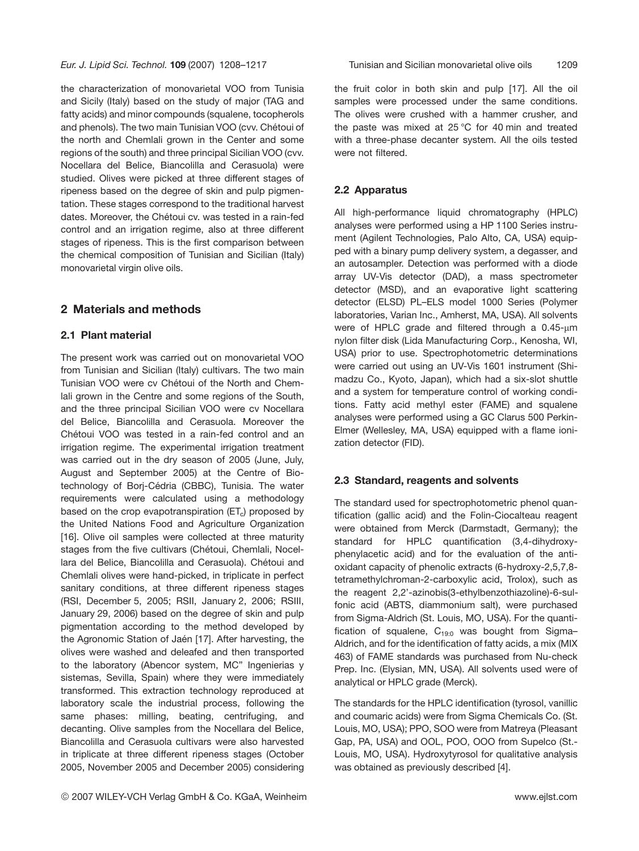*Eur. J. Lipid Sci. Technol.* **109** (2007) 1208–1217 Tunisian and Sicilian monovarietal olive oils 1209

the characterization of monovarietal VOO from Tunisia and Sicily (Italy) based on the study of major (TAG and fatty acids) and minor compounds (squalene, tocopherols and phenols). The two main Tunisian VOO (cvv. Chétoui of the north and Chemlali grown in the Center and some regions of the south) and three principal Sicilian VOO (cvv. Nocellara del Belice, Biancolilla and Cerasuola) were studied. Olives were picked at three different stages of ripeness based on the degree of skin and pulp pigmentation. These stages correspond to the traditional harvest dates. Moreover, the Chétoui cv. was tested in a rain-fed control and an irrigation regime, also at three different stages of ripeness. This is the first comparison between the chemical composition of Tunisian and Sicilian (Italy) monovarietal virgin olive oils.

# **2 Materials and methods**

## **2.1 Plant material**

The present work was carried out on monovarietal VOO from Tunisian and Sicilian (Italy) cultivars. The two main Tunisian VOO were cv Chétoui of the North and Chemlali grown in the Centre and some regions of the South, and the three principal Sicilian VOO were cv Nocellara del Belice, Biancolilla and Cerasuola. Moreover the Chétoui VOO was tested in a rain-fed control and an irrigation regime. The experimental irrigation treatment was carried out in the dry season of 2005 (June, July, August and September 2005) at the Centre of Biotechnology of Borj-Cédria (CBBC), Tunisia. The water requirements were calculated using a methodology based on the crop evapotranspiration  $(ET_c)$  proposed by the United Nations Food and Agriculture Organization [16]. Olive oil samples were collected at three maturity stages from the five cultivars (Chétoui, Chemlali, Nocellara del Belice, Biancolilla and Cerasuola). Chétoui and Chemlali olives were hand-picked, in triplicate in perfect sanitary conditions, at three different ripeness stages (RSI, December 5, 2005; RSII, January 2, 2006; RSIII, January 29, 2006) based on the degree of skin and pulp pigmentation according to the method developed by the Agronomic Station of Jaén [17]. After harvesting, the olives were washed and deleafed and then transported to the laboratory (Abencor system, MC" Ingenierias y sistemas, Sevilla, Spain) where they were immediately transformed. This extraction technology reproduced at laboratory scale the industrial process, following the same phases: milling, beating, centrifuging, and decanting. Olive samples from the Nocellara del Belice, Biancolilla and Cerasuola cultivars were also harvested in triplicate at three different ripeness stages (October 2005, November 2005 and December 2005) considering the fruit color in both skin and pulp [17]. All the oil samples were processed under the same conditions. The olives were crushed with a hammer crusher, and the paste was mixed at  $25^{\circ}$ C for 40 min and treated with a three-phase decanter system. All the oils tested were not filtered.

# **2.2 Apparatus**

All high-performance liquid chromatography (HPLC) analyses were performed using a HP 1100 Series instrument (Agilent Technologies, Palo Alto, CA, USA) equipped with a binary pump delivery system, a degasser, and an autosampler. Detection was performed with a diode array UV-Vis detector (DAD), a mass spectrometer detector (MSD), and an evaporative light scattering detector (ELSD) PL–ELS model 1000 Series (Polymer laboratories, Varian Inc., Amherst, MA, USA). All solvents were of HPLC grade and filtered through a  $0.45$ - $\mu$ m nylon filter disk (Lida Manufacturing Corp., Kenosha, WI, USA) prior to use. Spectrophotometric determinations were carried out using an UV-Vis 1601 instrument (Shimadzu Co., Kyoto, Japan), which had a six-slot shuttle and a system for temperature control of working conditions. Fatty acid methyl ester (FAME) and squalene analyses were performed using a GC Clarus 500 Perkin-Elmer (Wellesley, MA, USA) equipped with a flame ionization detector (FID).

## **2.3 Standard, reagents and solvents**

The standard used for spectrophotometric phenol quantification (gallic acid) and the Folin-Ciocalteau reagent were obtained from Merck (Darmstadt, Germany); the standard for HPLC quantification (3,4-dihydroxyphenylacetic acid) and for the evaluation of the antioxidant capacity of phenolic extracts (6-hydroxy-2,5,7,8 tetramethylchroman-2-carboxylic acid, Trolox), such as the reagent 2,2'-azinobis(3-ethylbenzothiazoline)-6-sulfonic acid (ABTS, diammonium salt), were purchased from Sigma-Aldrich (St. Louis, MO, USA). For the quantification of squalene,  $C_{19:0}$  was bought from Sigma-Aldrich, and for the identification of fatty acids, a mix (MIX 463) of FAME standards was purchased from Nu-check Prep. Inc. (Elysian, MN, USA). All solvents used were of analytical or HPLC grade (Merck).

The standards for the HPLC identification (tyrosol, vanillic and coumaric acids) were from Sigma Chemicals Co. (St. Louis, MO, USA); PPO, SOO were from Matreya (Pleasant Gap, PA, USA) and OOL, POO, OOO from Supelco (St.- Louis, MO, USA). Hydroxytyrosol for qualitative analysis was obtained as previously described [4].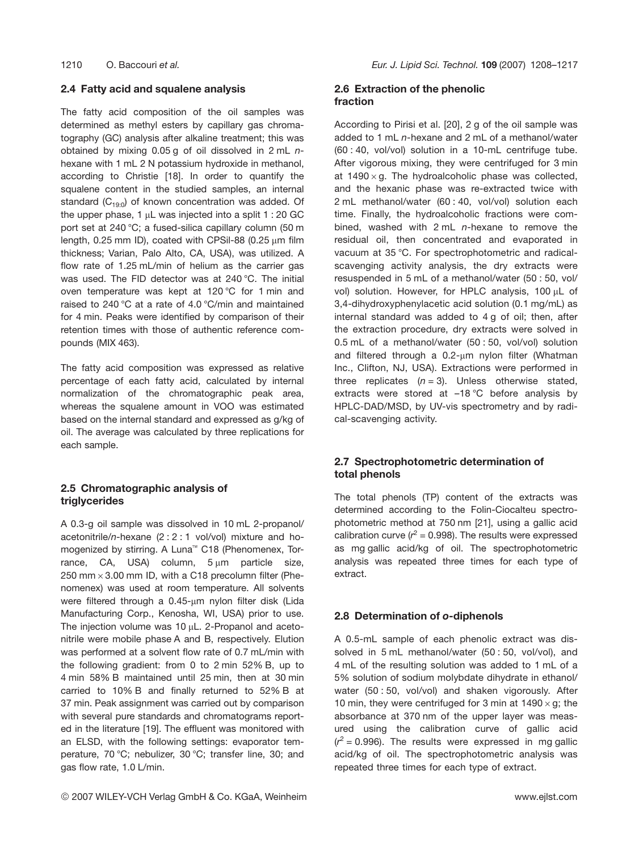# **2.4 Fatty acid and squalene analysis**

The fatty acid composition of the oil samples was determined as methyl esters by capillary gas chromatography (GC) analysis after alkaline treatment; this was obtained by mixing 0.05 g of oil dissolved in 2 mL *n*hexane with 1 mL 2 N potassium hydroxide in methanol, according to Christie [18]. In order to quantify the squalene content in the studied samples, an internal standard  $(C_{19:0})$  of known concentration was added. Of the upper phase, 1  $\mu$ L was injected into a split 1 : 20 GC port set at 240 °C; a fused-silica capillary column (50 m length,  $0.25$  mm ID), coated with CPSil-88 (0.25  $\mu$ m film thickness; Varian, Palo Alto, CA, USA), was utilized. A flow rate of 1.25 mL/min of helium as the carrier gas was used. The FID detector was at 240 °C. The initial oven temperature was kept at 120 °C for 1 min and raised to 240 °C at a rate of 4.0 °C/min and maintained for 4 min. Peaks were identified by comparison of their retention times with those of authentic reference compounds (MIX 463).

The fatty acid composition was expressed as relative percentage of each fatty acid, calculated by internal normalization of the chromatographic peak area, whereas the squalene amount in VOO was estimated based on the internal standard and expressed as g/kg of oil. The average was calculated by three replications for each sample.

## **2.5 Chromatographic analysis of triglycerides**

A 0.3-g oil sample was dissolved in 10 mL 2-propanol/ acetonitrile/*n-*hexane (2 : 2 : 1 vol/vol) mixture and homogenized by stirring. A Luna™ C18 (Phenomenex, Torrance, CA, USA) column,  $5 \mu m$  particle size, 250 mm $\times$ 3.00 mm ID, with a C18 precolumn filter (Phenomenex) was used at room temperature. All solvents were filtered through a  $0.45$ - $\mu$ m nylon filter disk (Lida Manufacturing Corp., Kenosha, WI, USA) prior to use. The injection volume was 10  $\mu$ L. 2-Propanol and acetonitrile were mobile phase A and B, respectively. Elution was performed at a solvent flow rate of 0.7 mL/min with the following gradient: from 0 to 2 min 52% B, up to 4 min 58% B maintained until 25 min, then at 30 min carried to 10% B and finally returned to 52% B at 37 min. Peak assignment was carried out by comparison with several pure standards and chromatograms reported in the literature [19]. The effluent was monitored with an ELSD, with the following settings: evaporator temperature, 70 °C; nebulizer, 30 °C; transfer line, 30; and gas flow rate, 1.0 L/min.

#### **2.6 Extraction of the phenolic fraction**

According to Pirisi et al. [20], 2 g of the oil sample was added to 1 mL *n*-hexane and 2 mL of a methanol/water (60 : 40, vol/vol) solution in a 10-mL centrifuge tube. After vigorous mixing, they were centrifuged for 3 min at  $1490 \times g$ . The hydroalcoholic phase was collected, and the hexanic phase was re-extracted twice with 2 mL methanol/water (60 : 40, vol/vol) solution each time. Finally, the hydroalcoholic fractions were combined, washed with 2 mL *n*-hexane to remove the residual oil, then concentrated and evaporated in vacuum at 35 °C. For spectrophotometric and radicalscavenging activity analysis, the dry extracts were resuspended in 5 mL of a methanol/water (50 : 50, vol/ vol) solution. However, for HPLC analysis, 100 µL of 3,4-dihydroxyphenylacetic acid solution (0.1 mg/mL) as internal standard was added to 4 g of oil; then, after the extraction procedure, dry extracts were solved in 0.5 mL of a methanol/water (50 : 50, vol/vol) solution and filtered through a  $0.2$ - $\mu$ m nylon filter (Whatman Inc., Clifton, NJ, USA). Extractions were performed in three replicates  $(n = 3)$ . Unless otherwise stated, extracts were stored at  $-18$  °C before analysis by HPLC-DAD/MSD, by UV-vis spectrometry and by radical-scavenging activity.

## **2.7 Spectrophotometric determination of total phenols**

The total phenols (TP) content of the extracts was determined according to the Folin-Ciocalteu spectrophotometric method at 750 nm [21], using a gallic acid calibration curve  $(r^2 = 0.998)$ . The results were expressed as mg gallic acid/kg of oil. The spectrophotometric analysis was repeated three times for each type of extract.

#### **2.8 Determination of** *o***-diphenols**

A 0.5-mL sample of each phenolic extract was dissolved in 5 mL methanol/water (50 : 50, vol/vol), and 4 mL of the resulting solution was added to 1 mL of a 5% solution of sodium molybdate dihydrate in ethanol/ water (50 : 50, vol/vol) and shaken vigorously. After 10 min, they were centrifuged for 3 min at  $1490 \times g$ ; the absorbance at 370 nm of the upper layer was measured using the calibration curve of gallic acid  $(r^2 = 0.996)$ . The results were expressed in mg gallic acid/kg of oil. The spectrophotometric analysis was repeated three times for each type of extract.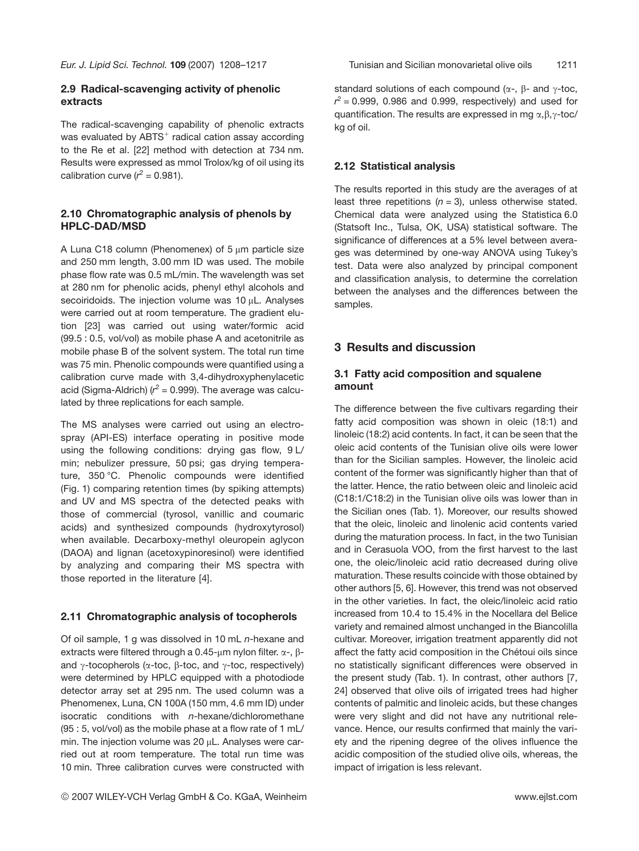#### **2.9 Radical-scavenging activity of phenolic extracts**

The radical-scavenging capability of phenolic extracts was evaluated by ABTS<sup>+</sup> radical cation assay according to the Re et al. [22] method with detection at 734 nm. Results were expressed as mmol Trolox/kg of oil using its calibration curve ( $r^2$  = 0.981).

#### **2.10 Chromatographic analysis of phenols by HPLC-DAD/MSD**

A Luna C18 column (Phenomenex) of  $5 \mu m$  particle size and 250 mm length, 3.00 mm ID was used. The mobile phase flow rate was 0.5 mL/min. The wavelength was set at 280 nm for phenolic acids, phenyl ethyl alcohols and secoiridoids. The injection volume was 10 µL. Analyses were carried out at room temperature. The gradient elution [23] was carried out using water/formic acid (99.5 : 0.5, vol/vol) as mobile phase A and acetonitrile as mobile phase B of the solvent system. The total run time was 75 min. Phenolic compounds were quantified using a calibration curve made with 3,4-dihydroxyphenylacetic acid (Sigma-Aldrich) (*r* <sup>2</sup> = 0.999). The average was calculated by three replications for each sample.

The MS analyses were carried out using an electrospray (API-ES) interface operating in positive mode using the following conditions: drying gas flow, 9 L/ min; nebulizer pressure, 50 psi; gas drying temperature, 350 °C. Phenolic compounds were identified (Fig. 1) comparing retention times (by spiking attempts) and UV and MS spectra of the detected peaks with those of commercial (tyrosol, vanillic and coumaric acids) and synthesized compounds (hydroxytyrosol) when available. Decarboxy-methyl oleuropein aglycon (DAOA) and lignan (acetoxypinoresinol) were identified by analyzing and comparing their MS spectra with those reported in the literature [4].

#### **2.11 Chromatographic analysis of tocopherols**

Of oil sample, 1 g was dissolved in 10 mL *n*-hexane and extracts were filtered through a 0.45-um nylon filter.  $\alpha$ -,  $\beta$ and  $\gamma$ -tocopherols ( $\alpha$ -toc,  $\beta$ -toc, and  $\gamma$ -toc, respectively) were determined by HPLC equipped with a photodiode detector array set at 295 nm. The used column was a Phenomenex, Luna, CN 100A (150 mm, 4.6 mm ID) under isocratic conditions with *n*-hexane/dichloromethane (95 : 5, vol/vol) as the mobile phase at a flow rate of 1 mL/ min. The injection volume was 20 µL. Analyses were carried out at room temperature. The total run time was 10 min. Three calibration curves were constructed with standard solutions of each compound ( $\alpha$ -,  $\beta$ - and  $\gamma$ -toc,  $r^2$  = 0.999, 0.986 and 0.999, respectively) and used for quantification. The results are expressed in mg  $\alpha, \beta, \gamma$ -toc/ kg of oil.

## **2.12 Statistical analysis**

The results reported in this study are the averages of at least three repetitions  $(n = 3)$ , unless otherwise stated. Chemical data were analyzed using the Statistica 6.0 (Statsoft Inc., Tulsa, OK, USA) statistical software. The significance of differences at a 5% level between averages was determined by one-way ANOVA using Tukey's test. Data were also analyzed by principal component and classification analysis, to determine the correlation between the analyses and the differences between the samples.

# **3 Results and discussion**

#### **3.1 Fatty acid composition and squalene amount**

The difference between the five cultivars regarding their fatty acid composition was shown in oleic (18:1) and linoleic (18:2) acid contents. In fact, it can be seen that the oleic acid contents of the Tunisian olive oils were lower than for the Sicilian samples. However, the linoleic acid content of the former was significantly higher than that of the latter. Hence, the ratio between oleic and linoleic acid (C18:1/C18:2) in the Tunisian olive oils was lower than in the Sicilian ones (Tab. 1). Moreover, our results showed that the oleic, linoleic and linolenic acid contents varied during the maturation process. In fact, in the two Tunisian and in Cerasuola VOO, from the first harvest to the last one, the oleic/linoleic acid ratio decreased during olive maturation. These results coincide with those obtained by other authors [5, 6]. However, this trend was not observed in the other varieties. In fact, the oleic/linoleic acid ratio increased from 10.4 to 15.4% in the Nocellara del Belice variety and remained almost unchanged in the Biancolilla cultivar. Moreover, irrigation treatment apparently did not affect the fatty acid composition in the Chétoui oils since no statistically significant differences were observed in the present study (Tab. 1). In contrast, other authors [7, 24] observed that olive oils of irrigated trees had higher contents of palmitic and linoleic acids, but these changes were very slight and did not have any nutritional relevance. Hence, our results confirmed that mainly the variety and the ripening degree of the olives influence the acidic composition of the studied olive oils, whereas, the impact of irrigation is less relevant.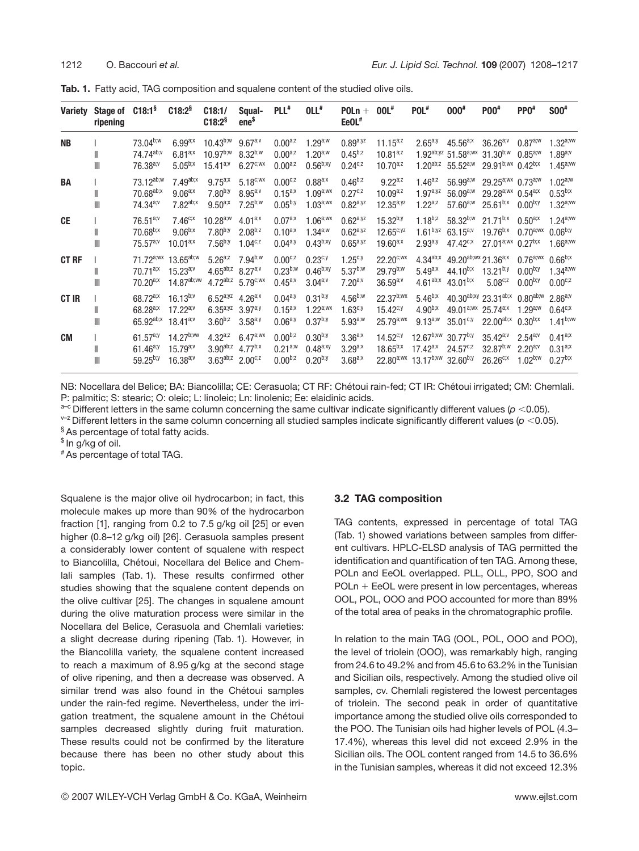| <b>Variety</b> | Stage of<br>ripening | C18:1 <sup>§</sup>                                      | $C18:2^s$                                                                       | C18:1/<br>$C18:2^s$                                                                | Squal-<br>ene <sup>\$</sup>                                     | PLL <sup>#</sup>                             | $OLL^*$                                        | $POLn +$<br>EeOL <sup>#</sup>                   | $00L^*$                                                 | POL <sup>#</sup>                                                                            | $000*$                                                                                                             | P00 <sup>#</sup>                                                                                 | PP <sub>0</sub> #                             | S00#                                              |
|----------------|----------------------|---------------------------------------------------------|---------------------------------------------------------------------------------|------------------------------------------------------------------------------------|-----------------------------------------------------------------|----------------------------------------------|------------------------------------------------|-------------------------------------------------|---------------------------------------------------------|---------------------------------------------------------------------------------------------|--------------------------------------------------------------------------------------------------------------------|--------------------------------------------------------------------------------------------------|-----------------------------------------------|---------------------------------------------------|
| <b>NB</b>      | Ш<br>Ш               | 73.04b;w<br>74.74ab;v<br>$76.38^{a;v}$                  | $6.99^{a;x}$<br>$6.81^{a}$<br>$5.05^{b;x}$                                      | $10.43^{b;w}$<br>$10.97^{b;w}$<br>$15.41^{a,v}$                                    | $9.67^{a,v}$<br>$8.32^{b;w}$<br>$6.27^{\mathrm{c},\mathrm{WX}}$ | $0.00^{a;z}$<br>$0.00^{a;z}$<br>$0.00^{a;z}$ | $1.29^{a;w}$<br>$1.20^{a;w}$<br>$0.56^{b;xy}$  | $0.89^{a,yz}$<br>$0.45^{b,z}$<br>$0.24^{c;z}$   | $11.15^{a,z}$<br>$10.81^{a}$<br>$10.70^{a,z}$           | $2.65^{a,y}$                                                                                | $45.56^{a;x}$<br>$1.92^{ab;yz}$ 51.58 <sup>a; wx</sup> 31.30 <sup>b; w</sup><br>$1.20^{ab;z}$ 55.52 <sup>a;w</sup> | $36.26^{a,v}$<br>29.91b;wx 0.42b;x                                                               | $0.87^{a;w}$<br>$0.85^{a,w}$                  | $1.32^{a;vw}$<br>1 $89^{a,v}$<br>$1.45^{a;vw}$    |
| BA             | Ш<br>Ш               | 73.12ab;w<br>70.68ab;x<br>$74.34^{a,v}$                 | $7.49^{ab;x}$<br>$9.06^{a;x}$<br>$7.82^{ab;x}$                                  | $9.75^{a,x}$<br>$7.80^{b,y}$<br>$9.50^{a}$                                         | $5.18^{c;wx}$<br>$8.95^{a;v}$<br>$7.25^{b;w}$                   | $0.00^{c;z}$<br>$0.15^{a;x}$<br>$0.05^{b,y}$ | $0.88^{a;x}$<br>$1.09^{a;wx}$<br>$1.03^{a;wx}$ | $0.46^{b;z}$<br>$0.27^{c,z}$<br>$0.82^{a,yz}$   | $9.22^{a;z}$<br>$10.09^{a;z}$<br>$12.35^{a,yz}$         | $1.46^{a,z}$<br>$1.97^{a,yz}$<br>$1.22^{a,z}$                                               | $56.99^{a;w}$<br>$56.09^{a;w}$<br>$57.60^{a;w}$                                                                    | $29.25^{a;wx}$ 0.73 <sup>a;w</sup><br>29.28 <sup>a;wx</sup> 0.54 <sup>a;x</sup><br>$25.61^{b;x}$ | $0.00^{b,y}$                                  | $1.02^{a;w}$<br>$0.53^{b;x}$<br>$1.32^{a;vw}$     |
| <b>CE</b>      | Ш<br>Ш               | $76.51^{a,v}$<br>$70.68^{b;x}$<br>$75.57^{a,v}$         | $7.46^{c;x}$<br>$9.06^{b;x}$<br>$10.01^{a}$                                     | $10.28^{a;w}$<br>$7.80^{b,y}$<br>$7.56^{b,y}$                                      | $4.01^{a,x}$<br>$2.08^{b, z}$<br>$1.04^{c,z}$                   | $0.07^{a;x}$<br>$0.10^{a}$<br>$0.04^{a,y}$   | $1.06^{a;wx}$<br>$1.34^{a;w}$<br>$0.43^{b;xy}$ | $0.62^{a,yz}$<br>$0.62^{a,yz}$<br>$0.65^{a,yz}$ | $15.32^{b,y}$<br>$12.65^{c, yz}$<br>$19.60^{a}$         | $1.18^{b;z}$<br>$1.61^{b, yz}$<br>$2.93^{a,y}$                                              | 58.32 $b;W$<br>$63.15^{a,v}$<br>$47.42^{c;x}$                                                                      | $21.71^{b;x}$<br>$19.76^{b,x}$<br>27.01 <sup>a;wx</sup> 0.27 <sup>b;x</sup>                      | $0.50^{a,x}$<br>$0.70^{a;wx}$                 | $1.24^{a;vw}$<br>$0.06^{b,y}$<br>$1.66^{a;vw}$    |
| <b>CT RF</b>   | Ш<br>Ш               | $70.71^{a;x}$<br>$70.20^{a;x}$                          | 71.72 <sup>a;wx</sup> 13.65 <sup>ab;w</sup><br>$15.23^{a,v}$<br>$14.87^{ab;vw}$ | $5.26^{a,z}$<br>4.65ab;z 8.27a;v                                                   | $7.94^{b;w}$<br>4.72ab;z 5.79c;wx                               | $0.00^{c;z}$<br>$0.23^{b;w}$<br>$0.45^{a,v}$ | $0.23^{c,y}$<br>$0.46^{b;xy}$<br>$3.04^{a,v}$  | $1.25^{c,y}$<br>$5.37^{b;w}$<br>$7.20^{a,v}$    | 22.20 <sup>c;wx</sup><br>$29.79^{b;w}$<br>$36.59^{a,v}$ | $5.49^{a;x}$<br>$4.61^{ab;x}$                                                               | 4.34ab;x 49.20ab;wx 21.36a;x<br>$44.10^{b;x}$<br>$43.01^{b;x}$                                                     | $13.21^{b,y}$<br>$5.08^{c;z}$                                                                    | $0.76^{a;wx}$<br>$0.00^{b,y}$<br>$0.00^{b,y}$ | $0.66^{b,x}$<br>$1.34^{a;vw}$<br>$0.00^{c;z}$     |
| <b>CT IR</b>   | Ш<br>Ш               | 68.72 <sup>a;x</sup><br>$68.28^{a;x}$<br>$65.92^{ab;x}$ | $16.13^{b,v}$<br>$17.22^{a,v}$<br>$18.41^{a,v}$                                 | 6.52 $a^{3yz}$ 4.26 $a^{2x}$<br>$6.35^{a, yz}$ 3.97 <sup>a;y</sup><br>$3.60^{b,z}$ | $3.58^{a,y}$                                                    | $0.04^{a,y}$<br>$0.15^{a;x}$<br>$0.06^{a,y}$ | $0.31^{b,y}$<br>$1.22^{a;wx}$<br>$0.37^{b,y}$  | $4.56^{b;w}$<br>$1.63^{c,y}$<br>$5.93^{a;w}$    | $22.37^{b;wx}$<br>$15.42^{c,y}$<br>$25.79^{a;wx}$       | $5.46^{b,x}$<br>$4.90^{b;x}$<br>$9.13^{a;w}$                                                | 49.01 <sup>a;wx</sup> 25.74 <sup>a;x</sup><br>$35.01^{c,y}$                                                        | 40.30ab;xy 23.31ab;x 0.80ab;w<br>22.00ab;x $0.30^{b;x}$                                          | $1.29^{a,w}$                                  | $2.86^{a,v}$<br>$0.64^{\rm c,x}$<br>$1.41^{b;vw}$ |
| <b>CM</b>      | Ш<br>Ш               | $61.57^{a,y}$<br>$61.46^{a,y}$<br>$59.25^{b,y}$         | $14.27^{b;vw}$<br>$15.79^{a,v}$<br>$16.38^{a;v}$                                | $4.32^{a,z}$<br>$3.90^{ab;z}$<br>$3.63^{ab;z}$ 2.00 <sup>c;z</sup>                 | $6.47^{a;wx}$<br>$4.77^{b,x}$                                   | $0.00^{b;z}$<br>$0.21^{a;w}$<br>$0.00^{b;z}$ | $0.30^{b,y}$<br>$0.48^{a;xy}$<br>$0.20^{b,y}$  | $3.36^{a;x}$<br>$3.29^{a;x}$<br>$3.68^{a;x}$    | $14.52^{c,y}$<br>$18.65^{b;x}$<br>$22.80^{a;wx}$        | $12.67^{b;vw}$ 30.77 <sup>b;y</sup><br>$17.42^{a,v}$<br>$13.17^{b;vw}$ 32.60 <sup>b;y</sup> | $24.57^{c,z}$                                                                                                      | $35.42^{a,v}$<br>$32.87^{b;w}$<br>$26.26^{c;x}$                                                  | $2.54^{a,v}$<br>$2.20^{a,v}$<br>$1.02^{b;w}$  | $0.41^{a,x}$<br>$0.31^{a,x}$<br>$0.27^{b;x}$      |

**Tab. 1.** Fatty acid, TAG composition and squalene content of the studied olive oils.

NB: Nocellara del Belice; BA: Biancolilla; CE: Cerasuola; CT RF: Chétoui rain-fed; CT IR: Chétoui irrigated; CM: Chemlali. P: palmitic; S: stearic; O: oleic; L: linoleic; Ln: linolenic; Ee: elaidinic acids.

 $a-c$  Different letters in the same column concerning the same cultivar indicate significantly different values ( $p < 0.05$ ).

 $v$ <sup>-z</sup> Different letters in the same column concerning all studied samples indicate significantly different values ( $p$  <0.05).

§ As percentage of total fatty acids.

\$ In g/kg of oil.

# As percentage of total TAG.

Squalene is the major olive oil hydrocarbon; in fact, this molecule makes up more than 90% of the hydrocarbon fraction [1], ranging from 0.2 to 7.5 g/kg oil [25] or even higher (0.8–12 g/kg oil) [26]. Cerasuola samples present a considerably lower content of squalene with respect to Biancolilla, Chétoui, Nocellara del Belice and Chemlali samples (Tab. 1). These results confirmed other studies showing that the squalene content depends on the olive cultivar [25]. The changes in squalene amount during the olive maturation process were similar in the Nocellara del Belice, Cerasuola and Chemlali varieties: a slight decrease during ripening (Tab. 1). However, in the Biancolilla variety, the squalene content increased to reach a maximum of 8.95 g/kg at the second stage of olive ripening, and then a decrease was observed. A similar trend was also found in the Chétoui samples under the rain-fed regime. Nevertheless, under the irrigation treatment, the squalene amount in the Chétoui samples decreased slightly during fruit maturation. These results could not be confirmed by the literature because there has been no other study about this topic.

#### **3.2 TAG composition**

TAG contents, expressed in percentage of total TAG (Tab. 1) showed variations between samples from different cultivars. HPLC-ELSD analysis of TAG permitted the identification and quantification of ten TAG. Among these, POLn and EeOL overlapped. PLL, OLL, PPO, SOO and  $POLn + EeOL$  were present in low percentages, whereas OOL, POL, OOO and POO accounted for more than 89% of the total area of peaks in the chromatographic profile.

In relation to the main TAG (OOL, POL, OOO and POO), the level of triolein (OOO), was remarkably high, ranging from 24.6 to 49.2% and from 45.6 to 63.2% in the Tunisian and Sicilian oils, respectively. Among the studied olive oil samples, cv. Chemlali registered the lowest percentages of triolein. The second peak in order of quantitative importance among the studied olive oils corresponded to the POO. The Tunisian oils had higher levels of POL (4.3– 17.4%), whereas this level did not exceed 2.9% in the Sicilian oils. The OOL content ranged from 14.5 to 36.6% in the Tunisian samples, whereas it did not exceed 12.3%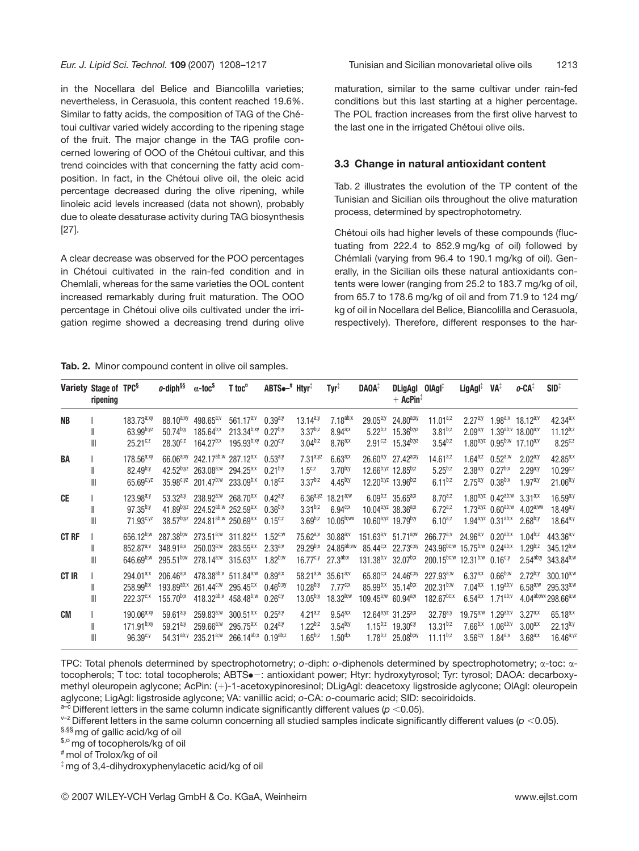in the Nocellara del Belice and Biancolilla varieties; nevertheless, in Cerasuola, this content reached 19.6%. Similar to fatty acids, the composition of TAG of the Chétoui cultivar varied widely according to the ripening stage of the fruit. The major change in the TAG profile concerned lowering of OOO of the Chétoui cultivar, and this trend coincides with that concerning the fatty acid composition. In fact, in the Chétoui olive oil, the oleic acid percentage decreased during the olive ripening, while linoleic acid levels increased (data not shown), probably due to oleate desaturase activity during TAG biosynthesis [27].

A clear decrease was observed for the POO percentages in Chétoui cultivated in the rain-fed condition and in Chemlali, whereas for the same varieties the OOL content increased remarkably during fruit maturation. The OOO percentage in Chétoui olive oils cultivated under the irrigation regime showed a decreasing trend during olive

**Tab. 2.** Minor compound content in olive oil samples.

 $III$  646.69<sup>b;w</sup> 295.51<sup>b;w</sup> 278.14<sup>a;w</sup> 315.63<sup>a;x</sup>

**Variety Stage of ripening**

maturation, similar to the same cultivar under rain-fed conditions but this last starting at a higher percentage. The POL fraction increases from the first olive harvest to the last one in the irrigated Chétoui olive oils.

## **3.3 Change in natural antioxidant content**

Tab. 2 illustrates the evolution of the TP content of the Tunisian and Sicilian oils throughout the olive maturation process, determined by spectrophotometry.

Chétoui oils had higher levels of these compounds (fluctuating from 222.4 to 852.9 mg/kg of oil) followed by Chémlali (varying from 96.4 to 190.1 mg/kg of oil). Generally, in the Sicilian oils these natural antioxidants contents were lower (ranging from 25.2 to 183.7 mg/kg of oil, from 65.7 to 178.6 mg/kg of oil and from 71.9 to 124 mg/ kg of oil in Nocellara del Belice, Biancolilla and Cerasuola, respectively). Therefore, different responses to the har-

**OlAgl**{ **LigAgl**{ **VA**{ *o***-CA**{ **SID**{

 $+$  **AcPin**<sup> $\ddag$ </sup>

| TPC: Total phenols determined by spectrophotometry; o-diph: o-diphenols determined by spectrophotometry; $\alpha$ -toc: $\alpha$ - |
|------------------------------------------------------------------------------------------------------------------------------------|
| tocopherols; T toc: total tocopherols; ABTS•-: antioxidant power; Htyr: hydroxytyrosol; Tyr: tyrosol; DAOA: decarboxy-             |
| methyl oleuropein aglycone; AcPin: (+)-1-acetoxypinoresinol; DLigAgl: deacetoxy ligstroside aglycone; OlAgl: oleuropein            |
| aglycone; LigAgl: ligstroside aglycone; VA: vanillic acid; o-CA: o-coumaric acid; SID: secoiridoids.                               |

 $a-c$  Different letters in the same column indicate significantly different values ( $p < 0.05$ ).

 $v$ <sup>-z</sup> Different letters in the same column concerning all studied samples indicate significantly different values ( $p$  <0.05).

**TPC§** *o***-diph§§** Æ**-toc\$ T toc¤ ABTS**.**–# Htyr**{ **Tyr**{ **DAOA**{ **DLigAgl**

II  $82.49^{b,y}$   $42.52^{b,yz}$   $263.08^{a,y}$   $294.25^{a,x}$   $0.21^{b,y}$   $1.5^{c,z}$   $3.70^{b,y}$   $12.66^{b,yz}$   $12.85^{b,z}$   $5.25^{b,z}$   $2.38^{a,y}$ <br>III  $65.69^{c,yz}$   $35.98^{c,yz}$   $201.47^{b,w}$   $233.09^{b,x}$   $0.18^{c,z}$   $3.37^{b,z}$   $4.45^{b,y}$ 

**NB** I 183.73<sup>a;xy</sup> 88.10<sup>a;xy</sup> 498.65<sup>a;v</sup> 561.17<sup>a;v</sup> 0.39<sup>a;y</sup> 13.14<sup>a;y</sup> 7.18<sup>ab;x</sup> 29.05<sup>a;y</sup> 24.80<sup>a;xy</sup> 11.01<sup>a;z</sup> 2.27<sup>a;y</sup> 1.98<sup>a;v</sup> 18.12<sup>a;v</sup> 42.34<sup>a;x</sup> 1.11.12<sup>b;z</sup> 3.81<sup>b;</sup>z 2.09<sup>a;y</sup> 1.11.12<sup>b;z</sup> 1.11.12<sup>b;z</sup> 10 63.99b;yz 50.74b;y 185.64b;x 213.34b;xy 0.27b;y 3.37b;z 8.94<sup>a;x</sup> 5.22b;z 15.36b;yz 3.81b;z 2.09<sup>a;y</sup> 1.39ab;v 18.00<sup>a;y</sup> 11.12b;z<br>10 25.21<sup>c;z</sup> 28.30<sup>c;z</sup> 164.27b;x 195.93b;xy 0.20<sup>c;y</sup> 3.04b;z 8.76<sup>a;x</sup> 2.91<sup>c;z</sup> 15.  $III$  25.21<sup>c;z</sup> 28.30<sup>c;z</sup> 164.27<sup>b;x</sup> 195.93<sup>b;xy</sup> 0.20<sup>c;y</sup> 3.04<sup>b;z</sup> 8.76<sup>a;x</sup> 2.91<sup>c;z</sup> 15.34<sup>b;z</sup> 3.54<sup>b;z</sup> 1.80<sup>a;y</sup>z 0.95<sup>b;w</sup> 17.10<sup>a;v</sup> 8.25<sup>c;z</sup>

**BA** I 178.56<sup>a;xy</sup> 66.06<sup>a;xy</sup> 242.17<sup>ab;w</sup> 287.12<sup>a;x</sup> 0.53<sup>a;y</sup> 7.31<sup>a;yz</sup> 6.63<sup>a;x</sup> 26.60<sup>a;y</sup> 27.42<sup>a;xy</sup> 14.61<sup>a;z</sup> 1.64<sup>a;z</sup> 0.52<sup>a;w</sup> 2.02<sup>a;y</sup> 42.85<sup>a;x</sup> 10.29<sup>c;x</sup> 1.85<sup>a</sup>;x 0.27<sup>b;x</sup> 2.29<sup>a;y</sup> 42.85<sup>a;x</sup> 10.29<sup>c</sup>

**CE** I 123.98<sup>a;y</sup> 53.32<sup>a;y</sup> 238.92<sup>a;w</sup> 268.70<sup>a;x</sup> 0.42<sup>a;y</sup> 6.36<sup>a;yz</sup> 18.21<sup>a;w</sup> 6.09<sup>b;z</sup> 35.65<sup>a;x</sup> 8.70<sup>a;z</sup> 1.80<sup>a;yz</sup> 0.42<sup>ab;w</sup> 3.31<sup>a;x</sup> 16.59<sup>a;y</sup> 11.89<sup>b;yz</sup> 224.52<sup>ab;w</sup> 252.59<sup>a;x</sup> 0.36<sup>b;y</sup> 3.31<sup>b;z</sup> 6.94<sup></sup>  $\rm H$  97.35b;y 41.89b;yz 224.52ab;w 252.59a;x 0.36b;y 3.31b;z 6.94c;x 10.04a;yz 38.36a;x 6.72a;z 1.73a;yz 0.60ab;w 4.02a;wx 18.49a;y<br> $\rm H$  71.93<sup>c;yz</sup> 38.57b;yz 224.81ab;w 250.69a;x 0.15<sup>c;z</sup> 3.69b;z 10.05b;wx 10.60a;yz 1 III 71.93<sup>c;yz</sup> 38.57<sup>b;yz</sup> 224.81<sup>ab;w</sup> 250.69<sup>a;x</sup> 0.15<sup>c;z</sup> 3.69<sup>b;z</sup> 10.05<sup>b;wx</sup> 10.60<sup>a;yz</sup> 19.79<sup>b;y</sup> 6.10<sup>a;z</sup> 1.94<sup>a;yz</sup> 0.31<sup>ab;x</sup> 2.68<sup>b;y</sup> 18.64<sup>a;y</sup>

**CT RF** I 656.12<sup>b;w</sup> 287.38<sup>b;w</sup> 273.51<sup>a;w</sup> 311.82<sup>a;x</sup> 1.52<sup>c;w</sup> 75.62<sup>a;v</sup> 30.88<sup>a;v</sup> 151.63<sup>a;v</sup> 51.71<sup>a;w</sup> 266.77<sup>a;v</sup> 24.96<sup>a;v</sup> 0.20<sup>ab;x</sup> 1.04<sup>b;z</sup> 443.36<sup>a;v</sup><br>II 852.87<sup>a;v</sup> 348.91<sup>a;v</sup> 250.03<sup>a;v</sup> 283.55<sup>a;x</sup> 2. II 852.87<sup>a;v</sup> 348.91<sup>a;v</sup> 250.03<sup>a;v</sup> 283.55<sup>a;x</sup> 2.33<sup>a;v</sup> 29.29<sup>b;x</sup> 24.85<sup>ab;w</sup> 85.44<sup>c;x</sup> 22.73<sup>c;v</sup> 243.96<sup>bc;w</sup> 15.75<sup>b;w</sup> 0.24<sup>ab;x</sup> 1.29<sup>b;z</sup> 345.12<sup>b;w</sup> 29.84<sup>b;v</sup> 278.14<sup>a;w</sup> 315.63<sup>a;x</sup> 1.82<sup>b;w</sup> 16.77<sup>c;y</sup> 2.

**CT IR** I 294.01<sup>a;x</sup> 206.46<sup>a;x</sup> 478.38<sup>ab;v</sup> 511.84<sup>a;w</sup> 0.89<sup>a;x</sup> 58.21<sup>a;w</sup> 35.61<sup>a;v</sup> 65.80<sup>c;x</sup> 24.46<sup>c;xy</sup> 227.93<sup>a;w</sup> 6.37<sup>a;x</sup> 0.66<sup>b;w</sup> 2.72<sup>b;y</sup> 300.10<sup>a;w</sup> 258.99<sup>b;x</sup> 3146<sup>b;x</sup> 295.33<sup>a;w</sup> 295.33<sup>a;w</sup> 295.33<sup>a</sup> II 258.99b;x 193.89ab;x 261.44<sup>c;w</sup> 295.45<sup>c;x</sup> 0.46b;xy 10.28b;y 7.77<sup>c;x</sup> 85.99b;x 35.14b;x 202.31b;w 7.04a;x 1.19ab;v 6.58a;w 295.33a;w  $\text{III}$  222.37<sup>c;x</sup> 155.70<sup>b;x</sup> 418.32<sup>ab;v</sup> 458.48<sup>b;w</sup> 0.26<sup>c;y</sup> 13.05<sup>b;y</sup> 18.32<sup>b;w</sup> 109.45<sup>a;w</sup> 60.94<sup>a;v</sup> 182.67<sup>bc;x</sup> 6.54<sup>a;x</sup> 1.71ab;v 4.04ab;wx 298.66a;w

**CM** I 190.06<sup>a;xy</sup> 59.61<sup>a;y</sup> 259.83<sup>a;w</sup> 300.51<sup>a;x</sup> 0.25<sup>a;y</sup> 4.21<sup>a;z</sup> 9.54<sup>a;x</sup> 12.64<sup>a;yz</sup> 31.25<sup>a;x</sup> 32.78<sup>a;y</sup> 19.75<sup>a;w</sup> 1.29<sup>ab;v</sup> 3.27<sup>a;x</sup> 65.18<sup>a;x</sup> 1.<br>II 171.91<sup>b:xy</sup> 59.21<sup>a;y</sup> 259.66<sup>a;w</sup> 295.75<sup>a;x</sup> 0.24<sup>a</sup> 171.91<sup>b;xy</sup> 59.21<sup>a;y</sup> 259.66<sup>a;w</sup> 295.75<sup>a;x</sup> 0.24<sup>a;y</sup> 1.22<sup>b;z</sup> 3.54<sup>b;y</sup> 1.15<sup>b;z</sup> 19.30<sup>c;y</sup> 1.3.31<sup>b;z</sup> 7.66<sup>b;x</sup> 1.06<sup>ab;v</sup> 3.00<sup>a;x</sup> 22.13<sup>b;y</sup> 1.15b;<sub>4</sub><sup>8;y</sup> 54.31<sup>ab;y</sup> 255.21a<sup>b;y</sup> 256.08<sup>b;x</sup> 1.54<sup>a;v</sup> 3.68<sup>a</sup>  $III$  96.39<sup>c;y</sup> 54.31<sup>ab;y</sup> 235.21<sup>a;w</sup> 266.14<sup>ab;x</sup> 0.19<sup>ab;z</sup> 1.65<sup>b;z</sup> 1.50<sup>d;x</sup> 1.78<sup>b;z</sup> 25.08<sup>b;xy</sup> 11.11<sup>b;z</sup> 3.56<sup>c;y</sup> 1.84<sup>a;v</sup> 3.68<sup>a;x</sup> 16.46<sup>a;yz</sup>

 $\text{III}$  65.69<sup>c;yz</sup> 35.98<sup>c;yz</sup> 201.47<sup>b;w</sup> 233.09<sup>b;x</sup> 0.18<sup>c;z</sup> 3.37<sup>b;z</sup> 4.45<sup>b;y</sup> 12.20<sup>b;yz</sup> 13.96<sup>b;z</sup> 6.11<sup>b;z</sup> 2.75<sup>a;y</sup> 0.38<sup>b;x</sup> 1.97<sup>a;y</sup> 21.06<sup>b;y</sup>

§,§§ mg of gallic acid/kg of oil

\$,<sup>¤</sup> mg of tocopherols/kg of oil

# mol of Trolox/kg of oil

 $*$  mg of 3,4-dihydroxyphenylacetic acid/kg of oil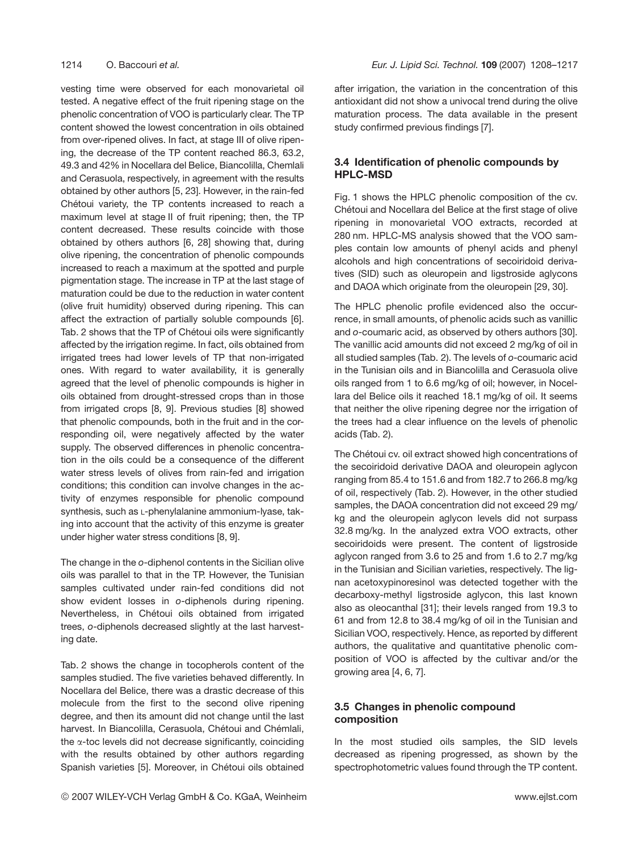vesting time were observed for each monovarietal oil tested. A negative effect of the fruit ripening stage on the phenolic concentration of VOO is particularly clear. The TP content showed the lowest concentration in oils obtained from over-ripened olives. In fact, at stage III of olive ripening, the decrease of the TP content reached 86.3, 63.2, 49.3 and 42% in Nocellara del Belice, Biancolilla, Chemlali and Cerasuola, respectively, in agreement with the results obtained by other authors [5, 23]. However, in the rain-fed Chétoui variety, the TP contents increased to reach a maximum level at stage II of fruit ripening; then, the TP content decreased. These results coincide with those obtained by others authors [6, 28] showing that, during olive ripening, the concentration of phenolic compounds increased to reach a maximum at the spotted and purple pigmentation stage. The increase in TP at the last stage of maturation could be due to the reduction in water content (olive fruit humidity) observed during ripening. This can affect the extraction of partially soluble compounds [6]. Tab. 2 shows that the TP of Chétoui oils were significantly affected by the irrigation regime. In fact, oils obtained from irrigated trees had lower levels of TP that non-irrigated ones. With regard to water availability, it is generally agreed that the level of phenolic compounds is higher in oils obtained from drought-stressed crops than in those from irrigated crops [8, 9]. Previous studies [8] showed that phenolic compounds, both in the fruit and in the corresponding oil, were negatively affected by the water supply. The observed differences in phenolic concentration in the oils could be a consequence of the different water stress levels of olives from rain-fed and irrigation conditions; this condition can involve changes in the activity of enzymes responsible for phenolic compound synthesis, such as L-phenylalanine ammonium-lyase, taking into account that the activity of this enzyme is greater under higher water stress conditions [8, 9].

The change in the *o*-diphenol contents in the Sicilian olive oils was parallel to that in the TP. However, the Tunisian samples cultivated under rain-fed conditions did not show evident losses in *o*-diphenols during ripening. Nevertheless, in Chétoui oils obtained from irrigated trees, *o*-diphenols decreased slightly at the last harvesting date.

Tab. 2 shows the change in tocopherols content of the samples studied. The five varieties behaved differently. In Nocellara del Belice, there was a drastic decrease of this molecule from the first to the second olive ripening degree, and then its amount did not change until the last harvest. In Biancolilla, Cerasuola, Chétoui and Chémlali, the  $\alpha$ -toc levels did not decrease significantly, coinciding with the results obtained by other authors regarding Spanish varieties [5]. Moreover, in Chétoui oils obtained after irrigation, the variation in the concentration of this antioxidant did not show a univocal trend during the olive maturation process. The data available in the present study confirmed previous findings [7].

# **3.4 Identification of phenolic compounds by HPLC-MSD**

Fig. 1 shows the HPLC phenolic composition of the cv. Chétoui and Nocellara del Belice at the first stage of olive ripening in monovarietal VOO extracts, recorded at 280 nm. HPLC-MS analysis showed that the VOO samples contain low amounts of phenyl acids and phenyl alcohols and high concentrations of secoiridoid derivatives (SID) such as oleuropein and ligstroside aglycons and DAOA which originate from the oleuropein [29, 30].

The HPLC phenolic profile evidenced also the occurrence, in small amounts, of phenolic acids such as vanillic and *o*-coumaric acid, as observed by others authors [30]. The vanillic acid amounts did not exceed 2 mg/kg of oil in all studied samples (Tab. 2). The levels of *o*-coumaric acid in the Tunisian oils and in Biancolilla and Cerasuola olive oils ranged from 1 to 6.6 mg/kg of oil; however, in Nocellara del Belice oils it reached 18.1 mg/kg of oil. It seems that neither the olive ripening degree nor the irrigation of the trees had a clear influence on the levels of phenolic acids (Tab. 2).

The Chétoui cv. oil extract showed high concentrations of the secoiridoid derivative DAOA and oleuropein aglycon ranging from 85.4 to 151.6 and from 182.7 to 266.8 mg/kg of oil, respectively (Tab. 2). However, in the other studied samples, the DAOA concentration did not exceed 29 mg/ kg and the oleuropein aglycon levels did not surpass 32.8 mg/kg. In the analyzed extra VOO extracts, other secoiridoids were present. The content of ligstroside aglycon ranged from 3.6 to 25 and from 1.6 to 2.7 mg/kg in the Tunisian and Sicilian varieties, respectively. The lignan acetoxypinoresinol was detected together with the decarboxy-methyl ligstroside aglycon, this last known also as oleocanthal [31]; their levels ranged from 19.3 to 61 and from 12.8 to 38.4 mg/kg of oil in the Tunisian and Sicilian VOO, respectively. Hence, as reported by different authors, the qualitative and quantitative phenolic composition of VOO is affected by the cultivar and/or the growing area [4, 6, 7].

# **3.5 Changes in phenolic compound composition**

In the most studied oils samples, the SID levels decreased as ripening progressed, as shown by the spectrophotometric values found through the TP content.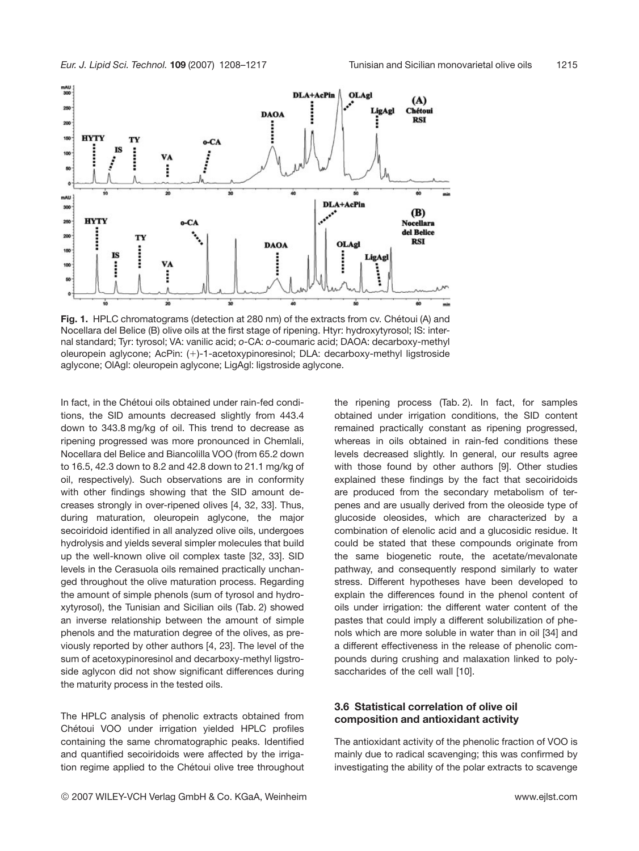

**Fig. 1.** HPLC chromatograms (detection at 280 nm) of the extracts from cv. Chétoui (A) and Nocellara del Belice (B) olive oils at the first stage of ripening. Htyr: hydroxytyrosol; IS: internal standard; Tyr: tyrosol; VA: vanilic acid; *o*-CA: *o*-coumaric acid; DAOA: decarboxy-methyl oleuropein aglycone; AcPin: (1)-1-acetoxypinoresinol; DLA: decarboxy-methyl ligstroside aglycone; OlAgl: oleuropein aglycone; LigAgl: ligstroside aglycone.

In fact, in the Chétoui oils obtained under rain-fed conditions, the SID amounts decreased slightly from 443.4 down to 343.8 mg/kg of oil. This trend to decrease as ripening progressed was more pronounced in Chemlali, Nocellara del Belice and Biancolilla VOO (from 65.2 down to 16.5, 42.3 down to 8.2 and 42.8 down to 21.1 mg/kg of oil, respectively). Such observations are in conformity with other findings showing that the SID amount decreases strongly in over-ripened olives [4, 32, 33]. Thus, during maturation, oleuropein aglycone, the major secoiridoid identified in all analyzed olive oils, undergoes hydrolysis and yields several simpler molecules that build up the well-known olive oil complex taste [32, 33]. SID levels in the Cerasuola oils remained practically unchanged throughout the olive maturation process. Regarding the amount of simple phenols (sum of tyrosol and hydroxytyrosol), the Tunisian and Sicilian oils (Tab. 2) showed an inverse relationship between the amount of simple phenols and the maturation degree of the olives, as previously reported by other authors [4, 23]. The level of the sum of acetoxypinoresinol and decarboxy-methyl ligstroside aglycon did not show significant differences during the maturity process in the tested oils.

The HPLC analysis of phenolic extracts obtained from Chétoui VOO under irrigation yielded HPLC profiles containing the same chromatographic peaks. Identified and quantified secoiridoids were affected by the irrigation regime applied to the Chétoui olive tree throughout the ripening process (Tab. 2). In fact, for samples obtained under irrigation conditions, the SID content remained practically constant as ripening progressed, whereas in oils obtained in rain-fed conditions these levels decreased slightly. In general, our results agree with those found by other authors [9]. Other studies explained these findings by the fact that secoiridoids are produced from the secondary metabolism of terpenes and are usually derived from the oleoside type of glucoside oleosides, which are characterized by a combination of elenolic acid and a glucosidic residue. It could be stated that these compounds originate from the same biogenetic route, the acetate/mevalonate pathway, and consequently respond similarly to water stress. Different hypotheses have been developed to explain the differences found in the phenol content of oils under irrigation: the different water content of the pastes that could imply a different solubilization of phenols which are more soluble in water than in oil [34] and a different effectiveness in the release of phenolic compounds during crushing and malaxation linked to polysaccharides of the cell wall [10].

# **3.6 Statistical correlation of olive oil composition and antioxidant activity**

The antioxidant activity of the phenolic fraction of VOO is mainly due to radical scavenging; this was confirmed by investigating the ability of the polar extracts to scavenge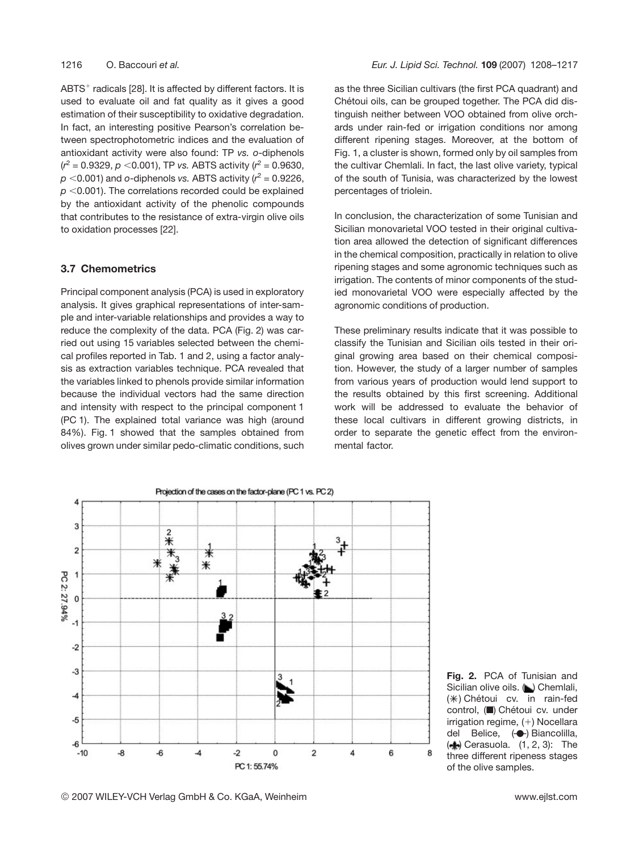$ABTS<sup>+</sup>$  radicals [28]. It is affected by different factors. It is used to evaluate oil and fat quality as it gives a good estimation of their susceptibility to oxidative degradation. In fact, an interesting positive Pearson's correlation between spectrophotometric indices and the evaluation of antioxidant activity were also found: TP *vs. o*-diphenols (*r* <sup>2</sup> = 0.9329, *p* ,0.001), TP *vs.* ABTS activity (*r* <sup>2</sup> = 0.9630, *p* ,0.001) and *o*-diphenols *vs.* ABTS activity (*r* <sup>2</sup> = 0.9226,  $p$  <0.001). The correlations recorded could be explained by the antioxidant activity of the phenolic compounds that contributes to the resistance of extra-virgin olive oils to oxidation processes [22].

## **3.7 Chemometrics**

Principal component analysis (PCA) is used in exploratory analysis. It gives graphical representations of inter-sample and inter-variable relationships and provides a way to reduce the complexity of the data. PCA (Fig. 2) was carried out using 15 variables selected between the chemical profiles reported in Tab. 1 and 2, using a factor analysis as extraction variables technique. PCA revealed that the variables linked to phenols provide similar information because the individual vectors had the same direction and intensity with respect to the principal component 1 (PC 1). The explained total variance was high (around 84%). Fig. 1 showed that the samples obtained from olives grown under similar pedo-climatic conditions, such

#### 1216 O. Baccouri *et al. Eur. J. Lipid Sci. Technol.* **109** (2007) 1208–1217

as the three Sicilian cultivars (the first PCA quadrant) and Chétoui oils, can be grouped together. The PCA did distinguish neither between VOO obtained from olive orchards under rain-fed or irrigation conditions nor among different ripening stages. Moreover, at the bottom of Fig. 1, a cluster is shown, formed only by oil samples from the cultivar Chemlali. In fact, the last olive variety, typical of the south of Tunisia, was characterized by the lowest percentages of triolein.

In conclusion, the characterization of some Tunisian and Sicilian monovarietal VOO tested in their original cultivation area allowed the detection of significant differences in the chemical composition, practically in relation to olive ripening stages and some agronomic techniques such as irrigation. The contents of minor components of the studied monovarietal VOO were especially affected by the agronomic conditions of production.

These preliminary results indicate that it was possible to classify the Tunisian and Sicilian oils tested in their original growing area based on their chemical composition. However, the study of a larger number of samples from various years of production would lend support to the results obtained by this first screening. Additional work will be addressed to evaluate the behavior of these local cultivars in different growing districts, in order to separate the genetic effect from the environmental factor.